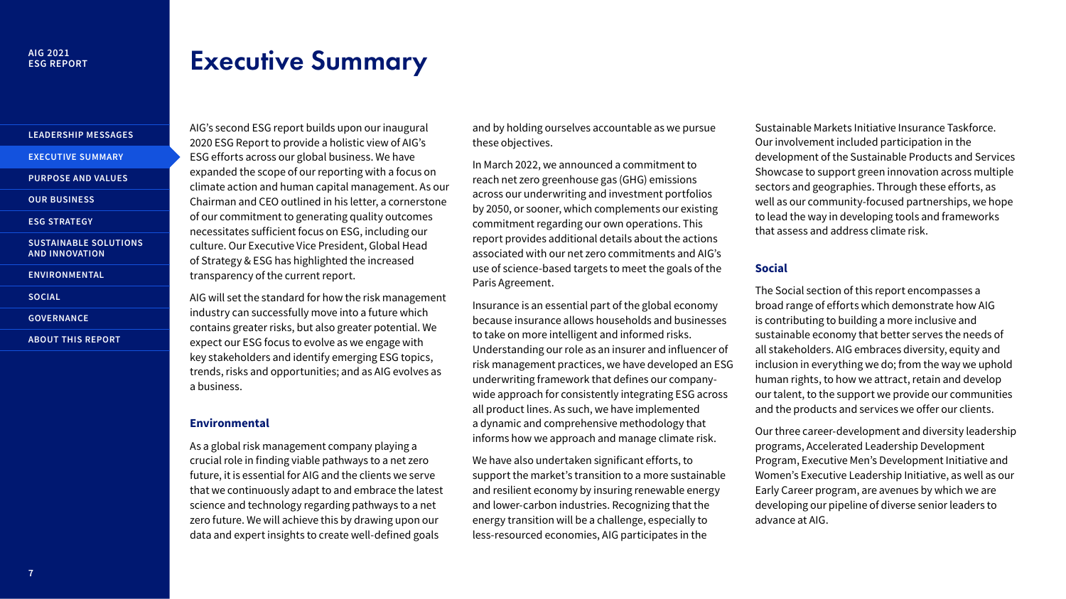# **AIG 2021**

# <span id="page-0-0"></span>**Executive Summary**

AIG's second ESG report builds upon our inaugural 2020 ESG Report to provide a holistic view of AIG's ESG efforts across our global business. We have expanded the scope of our reporting with a focus on climate action and human capital management. As our Chairman and CEO outlined in his letter, a cornerstone

necessitates sufficient focus on ESG, including our

contains greater risks, but also greater potential. We

key stakeholders and identify emerging ESG topics, trends, risks and opportunities; and as AIG evolves as

As a global risk management company playing a crucial role in finding viable pathways to a net zero future, it is essential for AIG and the clients we serve that we continuously adapt to and embrace the latest science and technology regarding pathways to a net zero future. We will achieve this by drawing upon our data and expert insights to create well-defined goals

a business.

**Environmental** 

### **[LEADERSHIP MESSAGES](#page--1-3)**

**[EXECUTIVE SUMMARY](#page-0-0)** 

**PURPOSE AND VALUES** 

**OUR BUSINESS** 

of our commitment to generating quality outcomes **[ESG STRATEGY](#page--1-0)** 

**SUSTAINABLE SOLUTIONS** culture. Our Executive Vice President, Global Head **AND INNOVATION** of Strategy & ESG has highlighted the increased

**[ENVIRONMENTAL](#page--1-1)** transparency of the current report.

**SOCIAL AIG** will set the standard for how the risk management

industry can successfully move into a future which **[GOVERNANCE](#page--1-2)** 

**[ABOUT THIS REPORT](#page--1-1)** expect our ESG focus to evolve as we engage with

and by holding ourselves accountable as we pursue these objectives.

In March 2022, we announced a commitment to reach net zero greenhouse gas (GHG) emissions across our underwriting and investment portfolios by 2050, or sooner, which complements our existing commitment regarding our own operations. This report provides additional details about the actions associated with our net zero commitments and AIG's use of science-based targets to meet the goals of the Paris Agreement.

Insurance is an essential part of the global economy because insurance allows households and businesses to take on more intelligent and informed risks. Understanding our role as an insurer and influencer of risk management practices, we have developed an ESG underwriting framework that defines our companywide approach for consistently integrating ESG across all product lines. As such, we have implemented a dynamic and comprehensive methodology that informs how we approach and manage climate risk.

We have also undertaken significant efforts, to support the market's transition to a more sustainable and resilient economy by insuring renewable energy and lower-carbon industries. Recognizing that the energy transition will be a challenge, especially to less-resourced economies, AIG participates in the

Sustainable Markets Initiative Insurance Taskforce. Our involvement included participation in the development of the Sustainable Products and Services Showcase to support green innovation across multiple sectors and geographies. Through these efforts, as well as our community-focused partnerships, we hope to lead the way in developing tools and frameworks that assess and address climate risk.

# **Social**

The Social section of this report encompasses a broad range of efforts which demonstrate how AIG is contributing to building a more inclusive and sustainable economy that better serves the needs of all stakeholders. AIG embraces diversity, equity and inclusion in everything we do; from the way we uphold human rights, to how we attract, retain and develop our talent, to the support we provide our communities and the products and services we offer our clients.

Our three career-development and diversity leadership programs, Accelerated Leadership Development Program, Executive Men's Development Initiative and Women's Executive Leadership Initiative, as well as our Early Career program, are avenues by which we are developing our pipeline of diverse senior leaders to advance at AIG.